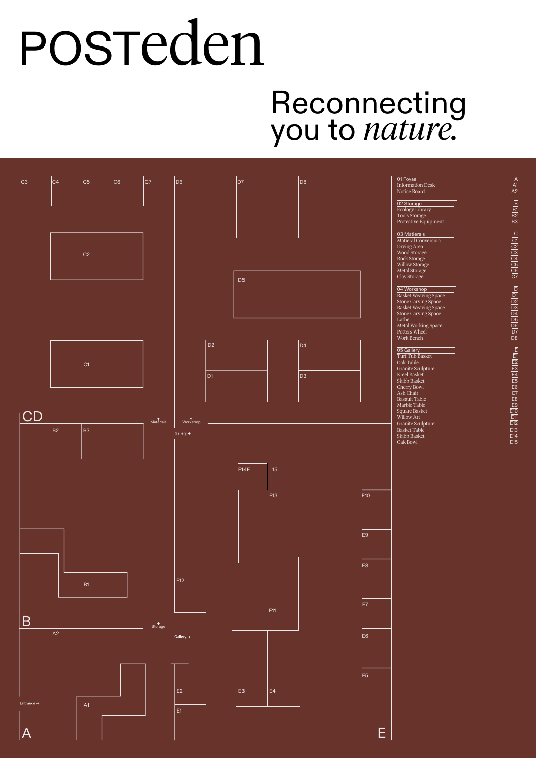# POSTeden

### Reconnecting you to *nature.*